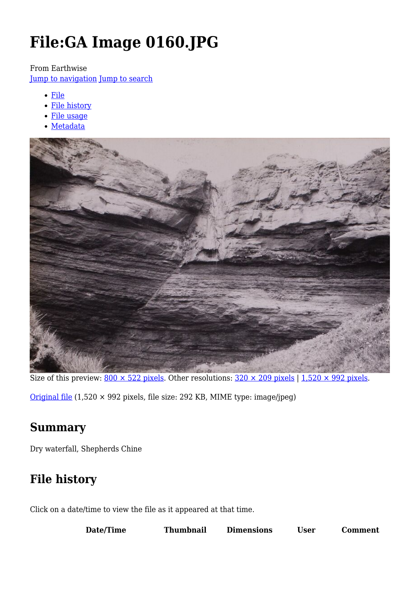# **File:GA Image 0160.JPG**

#### From Earthwise

[Jump to navigation](#page--1-0) [Jump to search](#page--1-0)

- [File](#page--1-0)
- [File history](#page--1-0)
- [File usage](#page--1-0)
- [Metadata](#page--1-0)



Size of this preview:  $800 \times 522$  pixels. Other resolutions:  $320 \times 209$  pixels | 1,520  $\times$  992 pixels.

[Original file](http://earthwise.bgs.ac.uk/images/8/85/GA_Image_0160.JPG) (1,520 × 992 pixels, file size: 292 KB, MIME type: image/jpeg)

### **Summary**

Dry waterfall, Shepherds Chine

### **File history**

Click on a date/time to view the file as it appeared at that time.

| Jser | Date/Time | Thumbnail | <b>Dimensions</b> |  | <b>Comment</b> |
|------|-----------|-----------|-------------------|--|----------------|
|------|-----------|-----------|-------------------|--|----------------|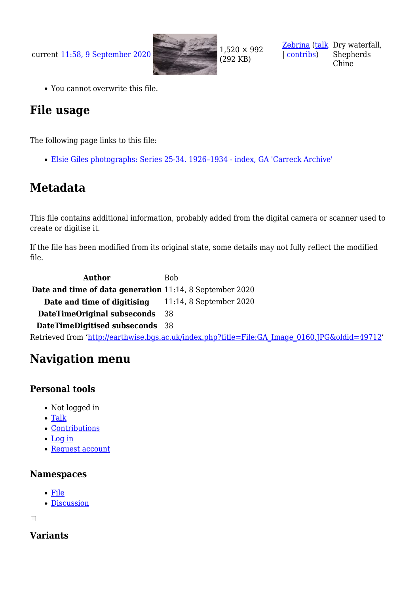current [11:58, 9 September 2020](http://earthwise.bgs.ac.uk/images/8/85/GA_Image_0160.JPG) 1,520 × 992



(292 KB)

[Zebrina](http://earthwise.bgs.ac.uk/index.php?title=User:Zebrina&action=edit&redlink=1) ([talk](http://earthwise.bgs.ac.uk/index.php?title=User_talk:Zebrina&action=edit&redlink=1) Dry waterfall, | [contribs\)](http://earthwise.bgs.ac.uk/index.php/Special:Contributions/Zebrina) Shepherds Chine

You cannot overwrite this file.

### **File usage**

The following page links to this file:

[Elsie Giles photographs: Series 25-34. 1926–1934 - index, GA 'Carreck Archive'](http://earthwise.bgs.ac.uk/index.php/Elsie_Giles_photographs:_Series_25-34._1926%E2%80%931934_-_index,_GA_%27Carreck_Archive%27)

### **Metadata**

This file contains additional information, probably added from the digital camera or scanner used to create or digitise it.

If the file has been modified from its original state, some details may not fully reflect the modified file.

**Author** Bob **Date and time of data generation** 11:14, 8 September 2020 **Date and time of digitising** 11:14, 8 September 2020 **DateTimeOriginal subseconds** 38 **DateTimeDigitised subseconds** 38 Retrieved from ['http://earthwise.bgs.ac.uk/index.php?title=File:GA\\_Image\\_0160.JPG&oldid=49712](http://earthwise.bgs.ac.uk/index.php?title=File:GA_Image_0160.JPG&oldid=49712)'

## **Navigation menu**

#### **Personal tools**

- Not logged in
- [Talk](http://earthwise.bgs.ac.uk/index.php/Special:MyTalk)
- [Contributions](http://earthwise.bgs.ac.uk/index.php/Special:MyContributions)
- [Log in](http://earthwise.bgs.ac.uk/index.php?title=Special:UserLogin&returnto=File%3AGA+Image+0160.JPG&returntoquery=action%3Dmpdf)
- [Request account](http://earthwise.bgs.ac.uk/index.php/Special:RequestAccount)

#### **Namespaces**

- [File](http://earthwise.bgs.ac.uk/index.php/File:GA_Image_0160.JPG)
- [Discussion](http://earthwise.bgs.ac.uk/index.php?title=File_talk:GA_Image_0160.JPG&action=edit&redlink=1)

 $\Box$ 

#### **Variants**